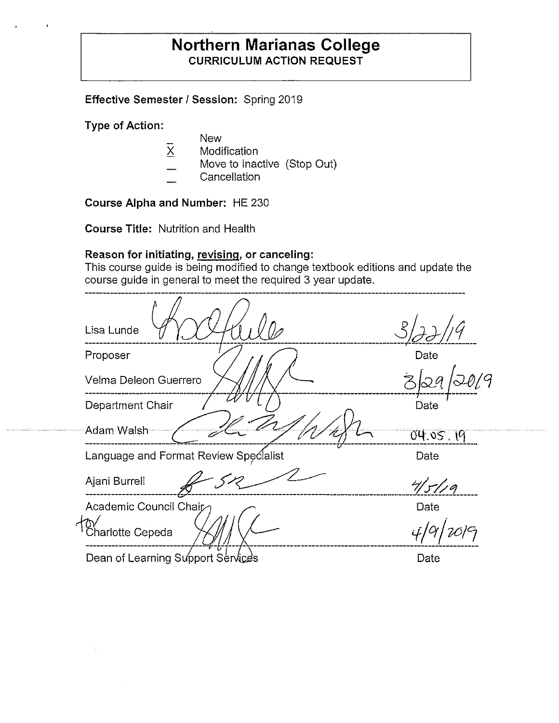## **Northern Marianas College CURRICULUM ACTION REQUEST**

**Effective Semester/ Session:** Spring 2019

**Type of Action:** 

- New
- X Modification
- Move to Inactive (Stop Out)
- **Cancellation**

**Course Alpha and Number:** HE 230

**Course Title:** Nutrition and Health

## **Reason for initiating, revising. or canceling:**

This course guide is being modified to change textbook editions and update the course guide in general to meet the required 3 year update.

| Lisa Lunde                            |          |
|---------------------------------------|----------|
| Proposer                              | Date     |
| Velma Deleon Guerrero                 | Ż        |
| Department Chair                      | Date     |
| Adam Walsh                            | 04.05.19 |
| Language and Format Review Specialist | Date     |
| Ajani Burrell                         | 7/5/19   |
| Academic Council Chair                | Date     |
| Charlotte Cepeda                      |          |
| Dean of Learning Support Services     | Date     |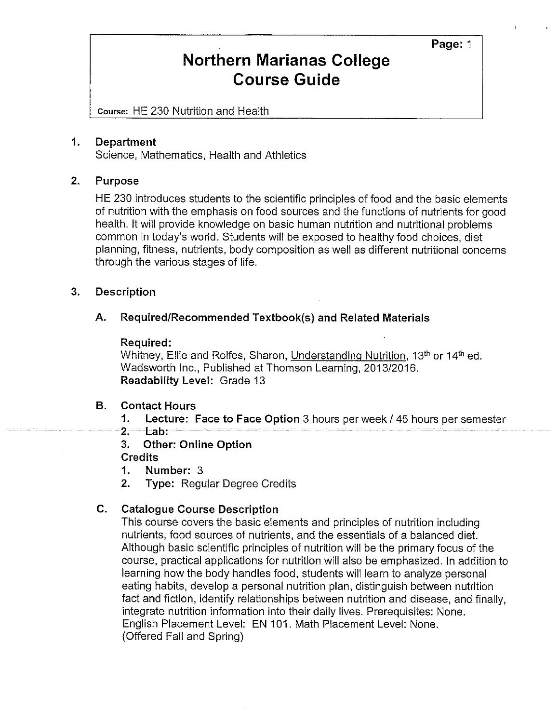**Page:** 1

# **Northern Marianas College Course Guide**

Course: HE 230 Nutrition and Health

#### **1. Department**

Science, Mathematics, Health and Athletics

#### **2. Purpose**

HE 230 introduces students to the scientific principles of food and the basic elements of nutrition with the emphasis on food sources and the functions of nutrients for good health. It will provide knowledge on basic human nutrition and nutritional problems common in today's world. Students will be exposed to healthy food choices, diet planning, fitness, nutrients, body composition as well as different nutritional concerns through the various stages of life.

#### **3. Description**

#### **A. Required/Recommended Textbook(s) and Related Materials**

#### **Required:**

Whitney, Ellie and Rolfes, Sharon, Understanding Nutrition, 13<sup>th</sup> or 14<sup>th</sup> ed. Wadsworth Inc., Published at Thomson Learning, 2013/2016. **Readability Level:** Grade 13

#### **B. Contact Hours**

**1. Lecture: Face to Face Option** 3 hours per week/ 45 hours per semester

- **2. Lab:**
- **3. Other: Online Option**

#### **Credits**

- **1. Number:** 3
- **2. Type:** Regular Degree Credits

#### **C. Catalogue Course Description**

This course covers the basic elements and principles of nutrition including nutrients, food sources of nutrients, and the essentials of a balanced diet. Although basic scientific principles of nutrition will be the primary focus of the course, practical applications for nutrition will also be emphasized. In addition to learning how the body handles food, students will learn to analyze personal eating habits, develop a personal nutrition plan, distinguish between nutrition fact and fiction, identify relationships between nutrition and disease, and finally, integrate nutrition information into their daily lives. Prerequisites: None. English Placement Level: EN 101. Math Placement Level: None. (Offered Fall and Spring)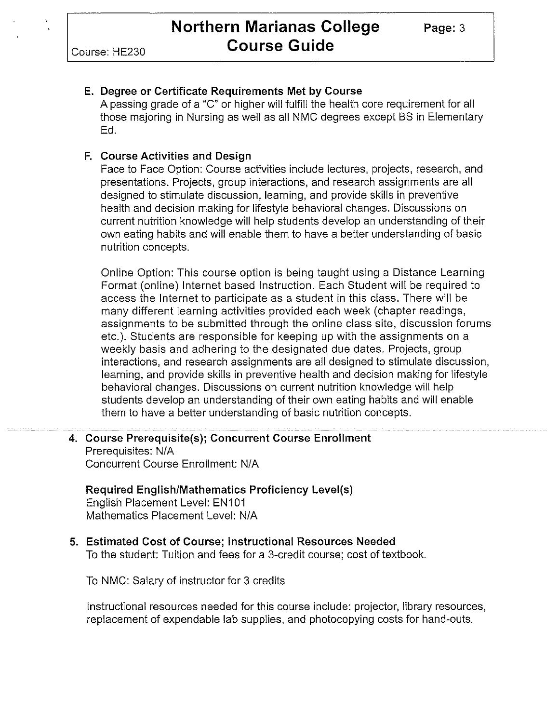## **E. Degree or Certificate Requirements Met by Course**

A passing grade of a "C" or higher will fulfill the health core requirement for all those majoring in Nursing as well as all NMC degrees except BS in Elementary Ed.

## **F. Course Activities and Design**

Face to Face Option: Course activities include lectures, projects, research, and presentations. Projects, group interactions, and research assignments are all designed to stimulate discussion, learning, and provide skills in preventive health and decision making for lifestyle behavioral changes. Discussions on current nutrition knowledge will help students develop an understanding of their own eating habits and will enable them to have a better understanding of basic nutrition concepts.

Online Option: This course option is being taught using a Distance Learning Format (online) Internet based Instruction. Each Student will be required to access the Internet to participate as a student in this class. There will be many different learning activities provided each week (chapter readings, assignments to be submitted through the online class site, discussion forums etc.). Students are responsible for keeping up with the assignments on a weekly basis and adhering to the designated due dates. Projects, group interactions, and research assignments are all designed to stimulate discussion, learning, and provide skills in preventive health and decision making for lifestyle behavioral changes. Discussions on current nutrition knowledge will help students develop an understanding of their own eating habits and will enable them to have a better understanding of basic nutrition concepts.

**4. Course Prerequisite(s); Concurrent Course Enrollment**  Prerequisites: N/A Concurrent Course Enrollment: N/A

### **Required English/Mathematics Proficiency Level(s)**  English Placement Level: EN101 Mathematics Placement Level: N/A

#### **5. Estimated Cost of Course; Instructional Resources Needed**  To the student: Tuition and fees for a 3-credit course; cost of textbook.

To NMC: Salary of instructor for 3 credits

Instructional resources needed for this course include: projector, library resources, replacement of expendable lab supplies, and photocopying costs for hand-outs.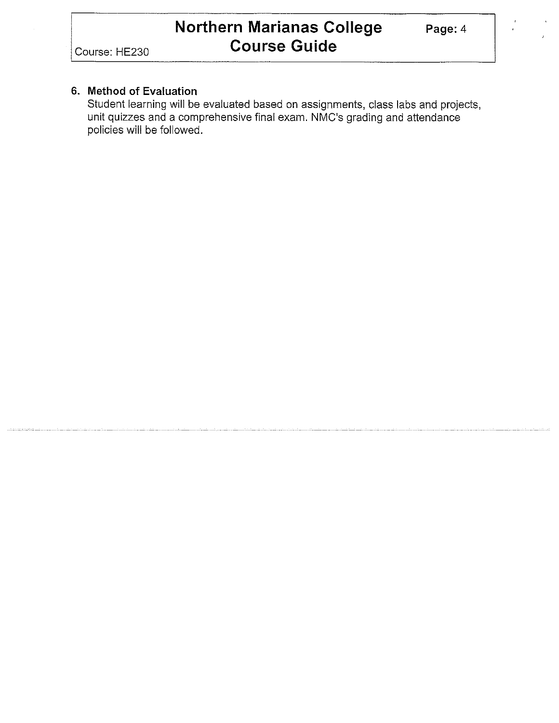Course: HE230

### **6. Method of Evaluation**

Student learning will be evaluated based on assignments, class labs and projects, unit quizzes and a comprehensive final exam. NMC's grading and attendance policies will be followed.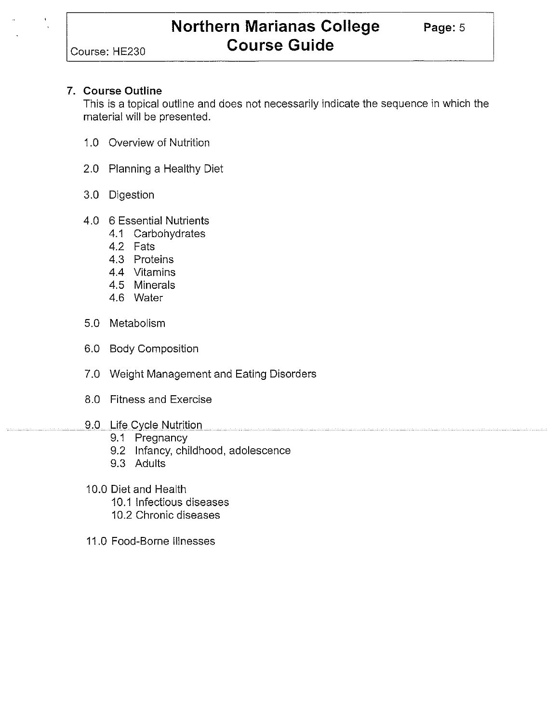Course: HE230

#### **7. Course Outline**

This is a topical outline and does not necessarily indicate the sequence in which the material will be presented.

- 1.0 Overview of Nutrition
- 2.0 Planning a Healthy Diet
- 3.0 Digestion
- 4.0 6 Essential Nutrients
	- 4.1 Carbohydrates
	- 4.2 Fats
	- 4.3 Proteins
	- 4.4 Vitamins
	- 4.5 Minerals
	- 4.6 Water
- 5.0 Metabolism
- 6.0 Body Composition
- 7.0 Weight Management and Eating Disorders
- 8.0 Fitness and Exercise
- 9.0 Life Cycle Nutrition
	- 9.1 Pregnancy
	- 9.2 Infancy, childhood, adolescence
	- 9.3 Adults
- 10.0 Diet and Health
	- 10.1 Infectious diseases
	- 10.2 Chronic diseases
- 11.0 Food-Borne Illnesses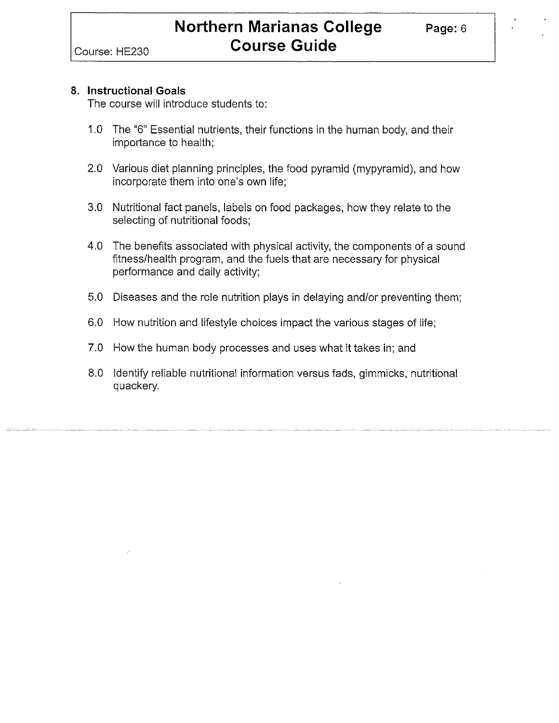#### **8. Instructional Goals**

The course will introduce students to:

- 1.0 The "6" Essential nutrients, their functions in the human body, and their importance to health;
- 2.0 Various diet planning principles, the food pyramid (mypyramid), and how incorporate them into one's own life;
- 3.0 Nutritional fact panels, labels on food packages, how they relate to the selecting of nutritional foods;
- 4.0 The benefits associated with physical activity, the components of a sound fitness/health program, and the fuels that are necessary for physical performance and daily activity;
- 5.0 Diseases and the role nutrition plays in delaying and/or preventing them;
- 6.0 How nutrition and lifestyle choices impact the various stages of life;
- 7.0 How the human body processes and uses what it takes in; and
- 8.0 Identify reliable nutritional information versus fads, gimmicks, nutritional quackery.